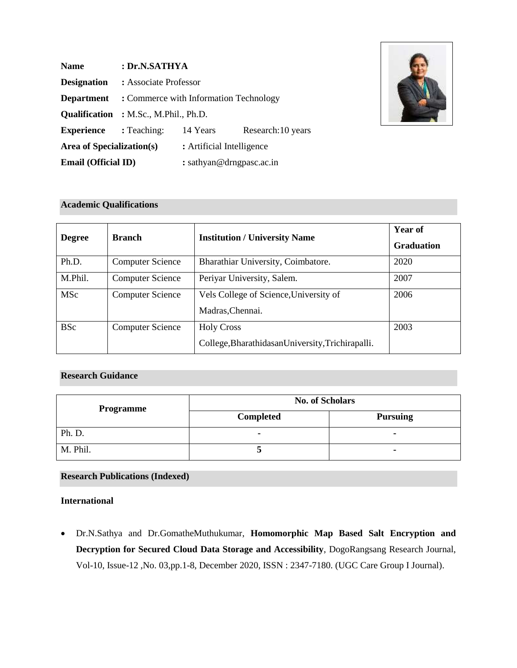| <b>Name</b>                      | : Dr.N.SATHYA                                |                           |                    |
|----------------------------------|----------------------------------------------|---------------------------|--------------------|
| <b>Designation</b>               | : Associate Professor                        |                           |                    |
| <b>Department</b>                | : Commerce with Information Technology       |                           |                    |
|                                  | <b>Qualification</b> : M.Sc., M.Phil., Ph.D. |                           |                    |
| <b>Experience</b>                | : Teaching:                                  | 14 Years                  | Research: 10 years |
| <b>Area of Specialization(s)</b> |                                              | : Artificial Intelligence |                    |
| <b>Email (Official ID)</b>       |                                              | : sathyan@drngpasc.ac.in  |                    |



## **Academic Qualifications**

| <b>Degree</b> | <b>Branch</b>           | <b>Institution / University Name</b>              | Year of<br><b>Graduation</b> |
|---------------|-------------------------|---------------------------------------------------|------------------------------|
| Ph.D.         | <b>Computer Science</b> | Bharathiar University, Coimbatore.                | 2020                         |
| M.Phil.       | <b>Computer Science</b> | Periyar University, Salem.                        | 2007                         |
| <b>MSc</b>    | <b>Computer Science</b> | Vels College of Science, University of            | 2006                         |
|               |                         | Madras, Chennai.                                  |                              |
| <b>BSc</b>    | <b>Computer Science</b> | <b>Holy Cross</b>                                 | 2003                         |
|               |                         | College, Bharathidasan University, Trichirapalli. |                              |

# **Research Guidance**

| <b>Programme</b> | <b>No. of Scholars</b> |                 |  |
|------------------|------------------------|-----------------|--|
|                  | <b>Completed</b>       | <b>Pursuing</b> |  |
| Ph. D.           |                        | $\blacksquare$  |  |
| M. Phil.         |                        | $\blacksquare$  |  |

### **Research Publications (Indexed)**

## **International**

• Dr.N.Sathya and Dr.GomatheMuthukumar, **Homomorphic Map Based Salt Encryption and Decryption for Secured Cloud Data Storage and Accessibility**, DogoRangsang Research Journal, Vol-10, Issue-12 ,No. 03,pp.1-8, December 2020, ISSN : 2347-7180. (UGC Care Group I Journal).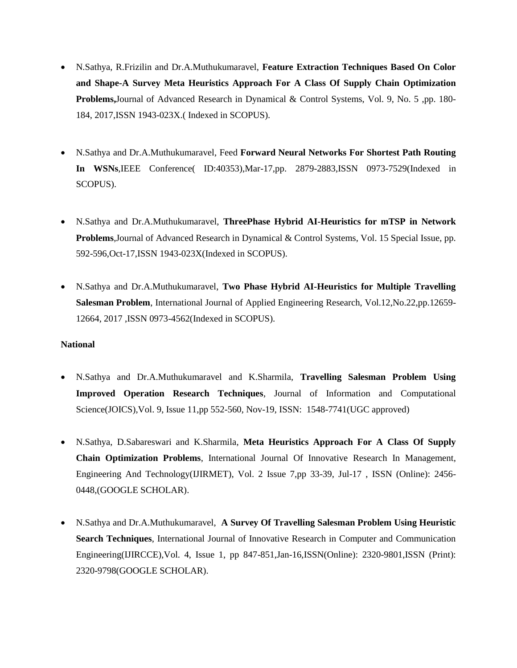- N.Sathya, R.Frizilin and Dr.A.Muthukumaravel, **Feature Extraction Techniques Based On Color and Shape-A Survey Meta Heuristics Approach For A Class Of Supply Chain Optimization Problems,**Journal of Advanced Research in Dynamical & Control Systems, Vol. 9, No. 5 ,pp. 180- 184, 2017,ISSN 1943-023X.( Indexed in SCOPUS).
- N.Sathya and Dr.A.Muthukumaravel, Feed **Forward Neural Networks For Shortest Path Routing In WSNs**,IEEE Conference( ID:40353),Mar-17,pp. 2879-2883,ISSN 0973-7529(Indexed in SCOPUS).
- N.Sathya and Dr.A.Muthukumaravel, **ThreePhase Hybrid AI-Heuristics for mTSP in Network Problems**,Journal of Advanced Research in Dynamical & Control Systems, Vol. 15 Special Issue, pp. 592-596,Oct-17,ISSN 1943-023X(Indexed in SCOPUS).
- N.Sathya and Dr.A.Muthukumaravel, **Two Phase Hybrid AI-Heuristics for Multiple Travelling Salesman Problem**, International Journal of Applied Engineering Research, Vol.12,No.22,pp.12659- 12664, 2017 ,ISSN 0973-4562(Indexed in SCOPUS).

### **National**

- N.Sathya and Dr.A.Muthukumaravel and K.Sharmila, **Travelling Salesman Problem Using Improved Operation Research Techniques**, Journal of Information and Computational Science(JOICS),Vol. 9, Issue 11,pp 552-560, Nov-19, ISSN: 1548-7741(UGC approved)
- N.Sathya, D.Sabareswari and K.Sharmila, **Meta Heuristics Approach For A Class Of Supply Chain Optimization Problems**, International Journal Of Innovative Research In Management, Engineering And Technology(IJIRMET), Vol. 2 Issue 7,pp 33-39, Jul-17 , ISSN (Online): 2456- 0448,(GOOGLE SCHOLAR).
- N.Sathya and Dr.A.Muthukumaravel, **A Survey Of Travelling Salesman Problem Using Heuristic Search Techniques**, International Journal of Innovative Research in Computer and Communication Engineering(IJIRCCE),Vol. 4, Issue 1, pp 847-851,Jan-16,ISSN(Online): 2320-9801,ISSN (Print): 2320-9798(GOOGLE SCHOLAR).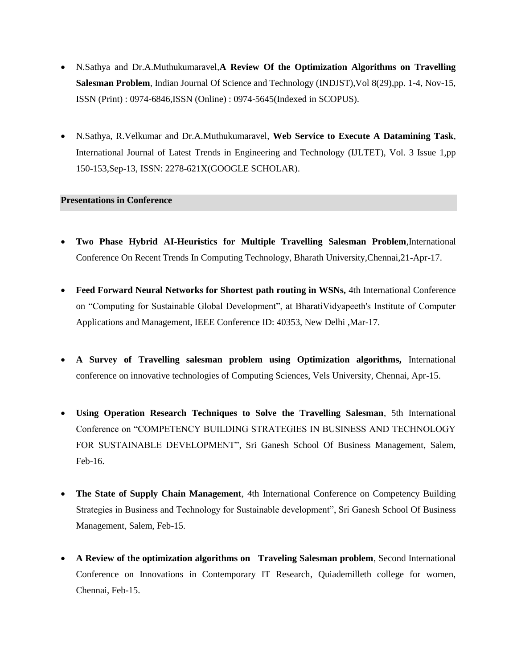- N.Sathya and Dr.A.Muthukumaravel,**A Review Of the Optimization Algorithms on Travelling Salesman Problem**, Indian Journal Of Science and Technology (INDJST),Vol 8(29),pp. 1-4, Nov-15, ISSN (Print) : 0974-6846,ISSN (Online) : 0974-5645(Indexed in SCOPUS).
- N.Sathya, R.Velkumar and Dr.A.Muthukumaravel, **Web Service to Execute A Datamining Task**, International Journal of Latest Trends in Engineering and Technology (IJLTET), Vol. 3 Issue 1,pp 150-153,Sep-13, ISSN: 2278-621X(GOOGLE SCHOLAR).

### **Presentations in Conference**

- **Two Phase Hybrid AI-Heuristics for Multiple Travelling Salesman Problem**,International Conference On Recent Trends In Computing Technology, Bharath University,Chennai,21-Apr-17.
- **Feed Forward Neural Networks for Shortest path routing in WSNs, 4th International Conference** on "Computing for Sustainable Global Development", at BharatiVidyapeeth's Institute of Computer Applications and Management, IEEE Conference ID: 40353, New Delhi ,Mar-17.
- **A Survey of Travelling salesman problem using Optimization algorithms,** International conference on innovative technologies of Computing Sciences, Vels University, Chennai, Apr-15.
- **Using Operation Research Techniques to Solve the Travelling Salesman**, 5th International Conference on "COMPETENCY BUILDING STRATEGIES IN BUSINESS AND TECHNOLOGY FOR SUSTAINABLE DEVELOPMENT", Sri Ganesh School Of Business Management, Salem, Feb-16.
- **The State of Supply Chain Management**, 4th International Conference on Competency Building Strategies in Business and Technology for Sustainable development", Sri Ganesh School Of Business Management, Salem, Feb-15.
- **A Review of the optimization algorithms on Traveling Salesman problem**, Second International Conference on Innovations in Contemporary IT Research, Quiademilleth college for women, Chennai, Feb-15.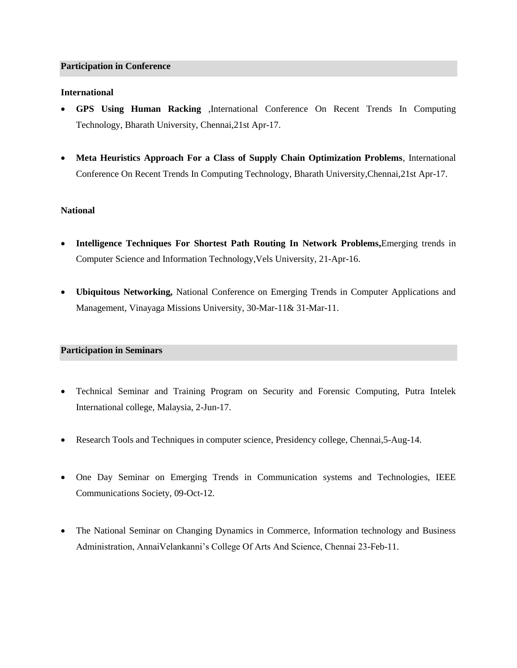#### **Participation in Conference**

### **International**

- **GPS Using Human Racking** ,International Conference On Recent Trends In Computing Technology, Bharath University, Chennai,21st Apr-17.
- **Meta Heuristics Approach For a Class of Supply Chain Optimization Problems**, International Conference On Recent Trends In Computing Technology, Bharath University,Chennai,21st Apr-17.

### **National**

- **Intelligence Techniques For Shortest Path Routing In Network Problems,**Emerging trends in Computer Science and Information Technology,Vels University, 21-Apr-16.
- **Ubiquitous Networking,** National Conference on Emerging Trends in Computer Applications and Management, Vinayaga Missions University, 30-Mar-11& 31-Mar-11.

### **Participation in Seminars**

- Technical Seminar and Training Program on Security and Forensic Computing, Putra Intelek International college, Malaysia, 2-Jun-17.
- Research Tools and Techniques in computer science, Presidency college, Chennai, 5-Aug-14.
- One Day Seminar on Emerging Trends in Communication systems and Technologies, IEEE Communications Society, 09-Oct-12.
- The National Seminar on Changing Dynamics in Commerce, Information technology and Business Administration, AnnaiVelankanni's College Of Arts And Science, Chennai 23-Feb-11.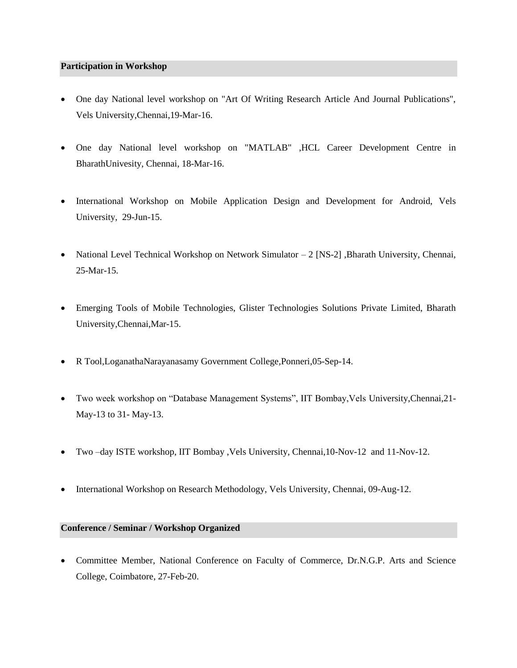### **Participation in Workshop**

- One day National level workshop on "Art Of Writing Research Article And Journal Publications", Vels University,Chennai,19-Mar-16.
- One day National level workshop on "MATLAB" ,HCL Career Development Centre in BharathUnivesity, Chennai, 18-Mar-16.
- International Workshop on Mobile Application Design and Development for Android, Vels University, 29-Jun-15.
- National Level Technical Workshop on Network Simulator 2 [NS-2] , Bharath University, Chennai, 25-Mar-15.
- Emerging Tools of Mobile Technologies, Glister Technologies Solutions Private Limited, Bharath University,Chennai,Mar-15.
- R Tool,LoganathaNarayanasamy Government College,Ponneri,05-Sep-14.
- Two week workshop on "Database Management Systems", IIT Bombay,Vels University,Chennai,21- May-13 to 31- May-13.
- Two –day ISTE workshop, IIT Bombay ,Vels University, Chennai,10-Nov-12 and 11-Nov-12.
- International Workshop on Research Methodology, Vels University, Chennai, 09-Aug-12.

#### **Conference / Seminar / Workshop Organized**

• Committee Member, National Conference on Faculty of Commerce, Dr.N.G.P. Arts and Science College, Coimbatore, 27-Feb-20.